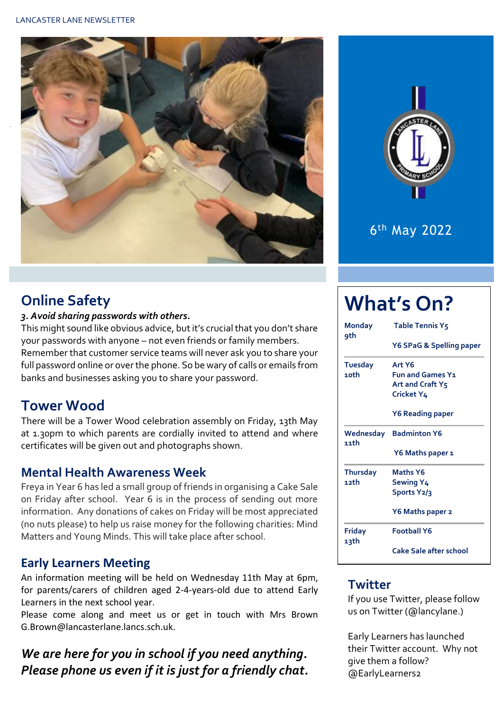



# 6 th May 2022

# **Online Safety**

#### *3. Avoid sharing passwords with others.*

This might sound like obvious advice, but it's crucial that you don't share your passwords with anyone – not even friends or family members. Remember that customer service teams will never ask you to share your full password online or over the phone. So be wary of calls or emails from banks and businesses asking you to share your password.

# **Tower Wood**

There will be a Tower Wood celebration assembly on Friday, 13th May at 1.30pm to which parents are cordially invited to attend and where certificates will be given out and photographs shown.

#### **Mental Health Awareness Week**

Freya in Year 6 has led a small group of friends in organising a Cake Sale on Friday after school. Year 6 is in the process of sending out more information. Any donations of cakes on Friday will be most appreciated (no nuts please) to help us raise money for the following charities: Mind Matters and Young Minds. This will take place after school.

#### **Early Learners Meeting**

An information meeting will be held on Wednesday 11th May at 6pm, for parents/carers of children aged 2-4-years-old due to attend Early Learners in the next school year.

Please come along and meet us or get in touch with Mrs Brown G.Brown@lancasterlane.lancs.sch.uk.

## *We are here for you in school if you need anything. Please phone us even if it is just for a friendly chat.*

# **What's On?**

| <b>Monday</b><br>9th | <b>Table Tennis Y5</b>   |  |  |  |  |
|----------------------|--------------------------|--|--|--|--|
|                      | Y6 SPaG & Spelling paper |  |  |  |  |
| <b>Tuesday</b>       | Art Y6                   |  |  |  |  |
| 10th                 | <b>Fun and Games Y1</b>  |  |  |  |  |
|                      | Art and Craft Y5         |  |  |  |  |
|                      | Cricket Y4               |  |  |  |  |
|                      | <b>Y6 Reading paper</b>  |  |  |  |  |
| Wednesday<br>11th    | <b>Badminton Y6</b>      |  |  |  |  |
|                      | Y6 Maths paper 1         |  |  |  |  |
| <b>Thursday</b>      | <b>Maths Y6</b>          |  |  |  |  |
| 12th                 | Sewing Y4                |  |  |  |  |
|                      | Sports Y2/3              |  |  |  |  |
|                      | Y6 Maths paper 2         |  |  |  |  |
| Friday<br>13th       | <b>Football Y6</b>       |  |  |  |  |
|                      | Cake Sale after school   |  |  |  |  |

#### **Twitter**

If you use Twitter, please follow us on Twitter (@lancylane.)

Early Learners has launched their Twitter account. Why not give them a follow? @EarlyLearners2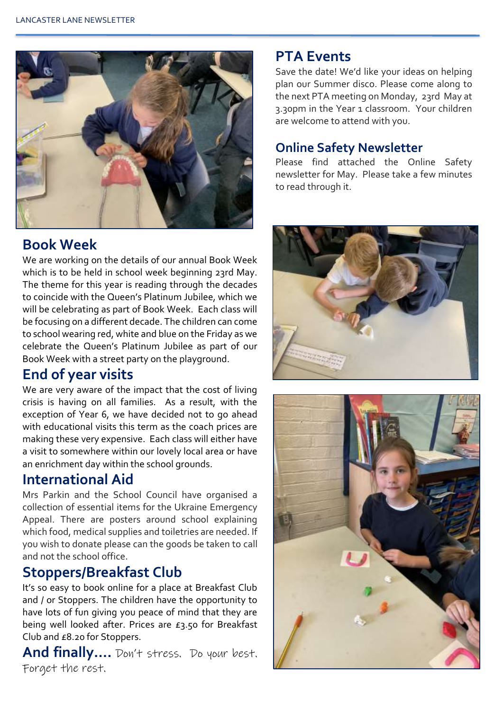

### **Book Week**

We are working on the details of our annual Book Week which is to be held in school week beginning 23rd May. The theme for this year is reading through the decades to coincide with the Queen's Platinum Jubilee, which we will be celebrating as part of Book Week. Each class will be focusing on a different decade. The children can come to school wearing red, white and blue on the Friday as we celebrate the Queen's Platinum Jubilee as part of our Book Week with a street party on the playground.

#### **End of year visits**

We are very aware of the impact that the cost of living crisis is having on all families. As a result, with the exception of Year 6, we have decided not to go ahead with educational visits this term as the coach prices are making these very expensive. Each class will either have a visit to somewhere within our lovely local area or have an enrichment day within the school grounds.

# **International Aid**

Mrs Parkin and the School Council have organised a collection of essential items for the Ukraine Emergency Appeal. There are posters around school explaining which food, medical supplies and toiletries are needed. If you wish to donate please can the goods be taken to call and not the school office.

### **Stoppers/Breakfast Club**

It's so easy to book online for a place at Breakfast Club and / or Stoppers. The children have the opportunity to have lots of fun giving you peace of mind that they are being well looked after. Prices are £3.50 for Breakfast Club and £8.20 for Stoppers.

**And finally….** Don't stress. Do your best. Forget the rest.

#### **PTA Events**

Save the date! We'd like your ideas on helping plan our Summer disco. Please come along to the next PTA meeting on Monday, 23rd May at 3.30pm in the Year 1 classroom. Your children are welcome to attend with you.

#### **Online Safety Newsletter**

Please find attached the Online Safety newsletter for May. Please take a few minutes to read through it.